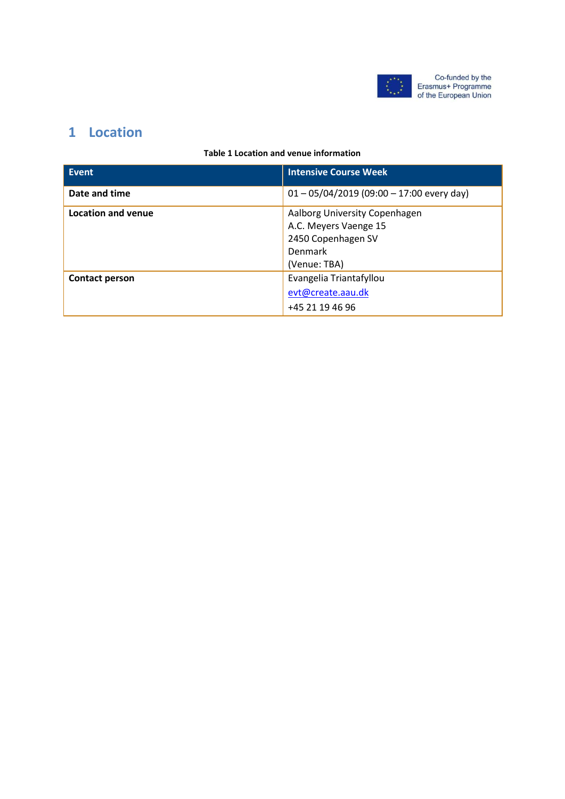

# **1 Location**

### **Table 1 Location and venue information**

| Event              | <b>Intensive Course Week</b>                |
|--------------------|---------------------------------------------|
| Date and time      | $01 - 05/04/2019$ (09:00 - 17:00 every day) |
| Location and venue | Aalborg University Copenhagen               |
|                    | A.C. Meyers Vaenge 15                       |
|                    | 2450 Copenhagen SV                          |
|                    | Denmark                                     |
|                    | (Venue: TBA)                                |
| Contact person     | Evangelia Triantafyllou                     |
|                    | evt@create.aau.dk                           |
|                    | +45 21 19 46 96                             |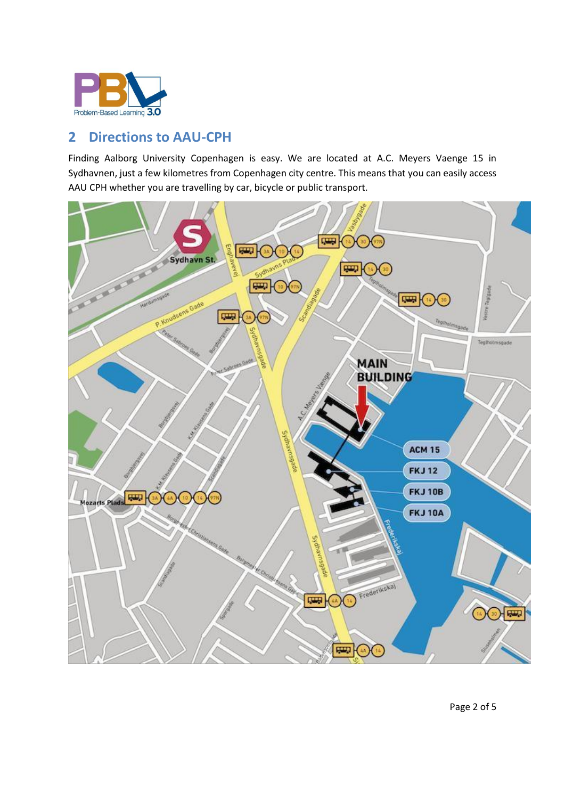

# **2 Directions to AAU-CPH**

Finding Aalborg University Copenhagen is easy. We are located at A.C. Meyers Vaenge 15 in Sydhavnen, just a few kilometres from Copenhagen city centre. This means that you can easily access AAU CPH whether you are travelling by car, bicycle or public transport.

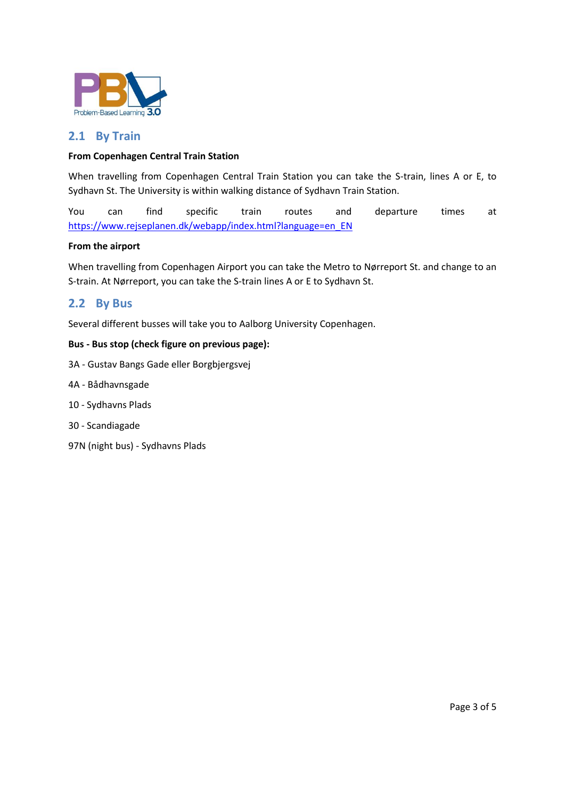

# **2.1 By Train**

### **From Copenhagen Central Train Station**

When travelling from Copenhagen Central Train Station you can take the S-train, lines A or E, to Sydhavn St. The University is within walking distance of Sydhavn Train Station.

You can find specific train routes and departure times at [https://www.rejseplanen.dk/webapp/index.html?language=en\\_EN](https://www.rejseplanen.dk/webapp/index.html?language=en_EN)

#### **From the airport**

When travelling from Copenhagen Airport you can take the Metro to Nørreport St. and change to an S-train. At Nørreport, you can take the S-train lines A or E to Sydhavn St.

## **2.2 By Bus**

Several different busses will take you to Aalborg University Copenhagen.

#### **Bus - Bus stop (check figure on previous page):**

- 3A Gustav Bangs Gade eller Borgbjergsvej
- 4A Bådhavnsgade
- 10 Sydhavns Plads
- 30 Scandiagade
- 97N (night bus) Sydhavns Plads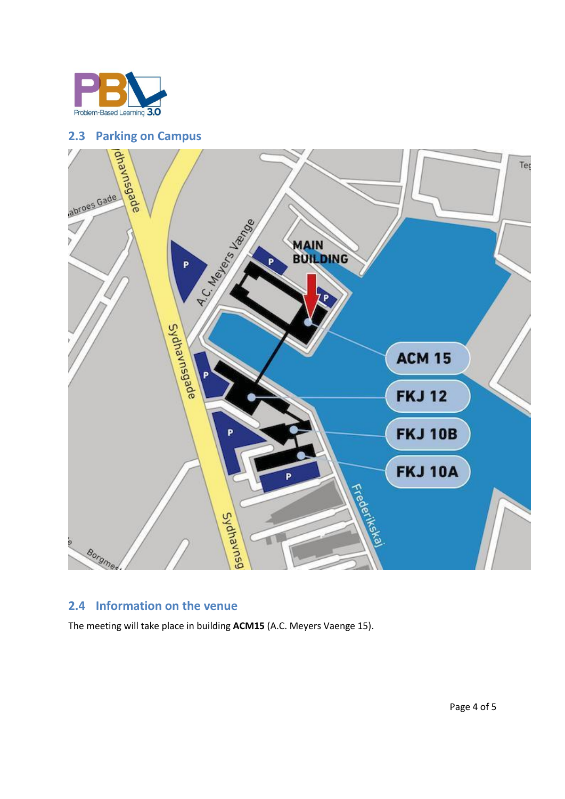



## **2.4 Information on the venue**

The meeting will take place in building **ACM15** (A.C. Meyers Vaenge 15).